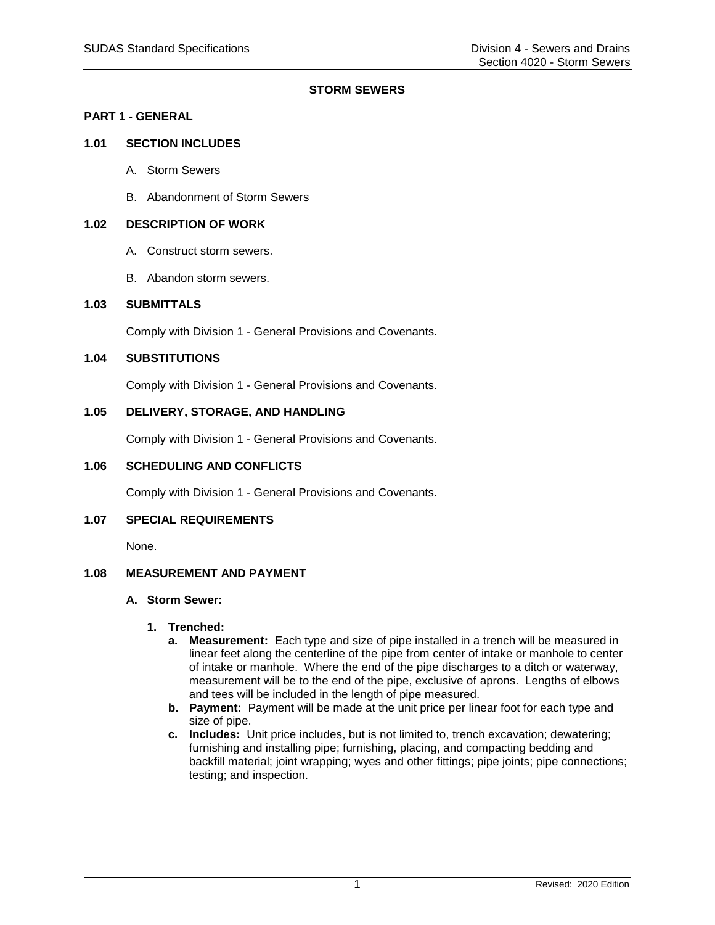# **STORM SEWERS**

# **PART 1 - GENERAL**

# **1.01 SECTION INCLUDES**

- A. Storm Sewers
- B. Abandonment of Storm Sewers

### **1.02 DESCRIPTION OF WORK**

- A. Construct storm sewers.
- B. Abandon storm sewers.

### **1.03 SUBMITTALS**

Comply with Division 1 - General Provisions and Covenants.

### **1.04 SUBSTITUTIONS**

Comply with Division 1 - General Provisions and Covenants.

### **1.05 DELIVERY, STORAGE, AND HANDLING**

Comply with Division 1 - General Provisions and Covenants.

# **1.06 SCHEDULING AND CONFLICTS**

Comply with Division 1 - General Provisions and Covenants.

### **1.07 SPECIAL REQUIREMENTS**

None.

### **1.08 MEASUREMENT AND PAYMENT**

# **A. Storm Sewer:**

- **1. Trenched:**
	- **a. Measurement:** Each type and size of pipe installed in a trench will be measured in linear feet along the centerline of the pipe from center of intake or manhole to center of intake or manhole. Where the end of the pipe discharges to a ditch or waterway, measurement will be to the end of the pipe, exclusive of aprons. Lengths of elbows and tees will be included in the length of pipe measured.
	- **b. Payment:** Payment will be made at the unit price per linear foot for each type and size of pipe.
	- **c. Includes:** Unit price includes, but is not limited to, trench excavation; dewatering; furnishing and installing pipe; furnishing, placing, and compacting bedding and backfill material; joint wrapping; wyes and other fittings; pipe joints; pipe connections; testing; and inspection.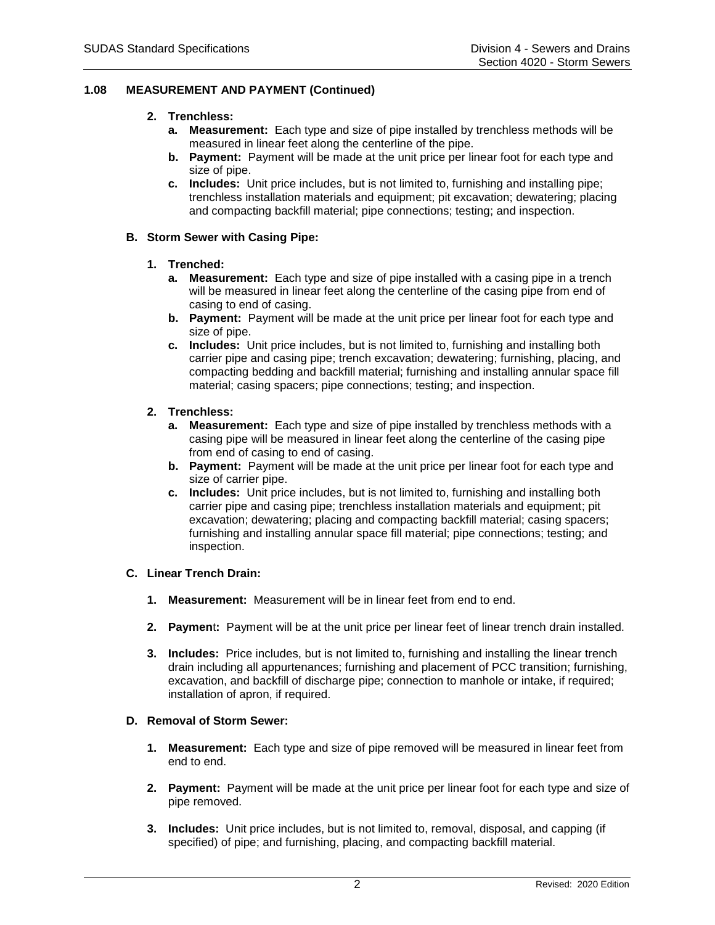# **1.08 MEASUREMENT AND PAYMENT (Continued)**

### **2. Trenchless:**

- **a. Measurement:** Each type and size of pipe installed by trenchless methods will be measured in linear feet along the centerline of the pipe.
- **b. Payment:** Payment will be made at the unit price per linear foot for each type and size of pipe.
- **c. Includes:** Unit price includes, but is not limited to, furnishing and installing pipe; trenchless installation materials and equipment; pit excavation; dewatering; placing and compacting backfill material; pipe connections; testing; and inspection.

### **B. Storm Sewer with Casing Pipe:**

### **1. Trenched:**

- **a. Measurement:** Each type and size of pipe installed with a casing pipe in a trench will be measured in linear feet along the centerline of the casing pipe from end of casing to end of casing.
- **b. Payment:** Payment will be made at the unit price per linear foot for each type and size of pipe.
- **c. Includes:** Unit price includes, but is not limited to, furnishing and installing both carrier pipe and casing pipe; trench excavation; dewatering; furnishing, placing, and compacting bedding and backfill material; furnishing and installing annular space fill material; casing spacers; pipe connections; testing; and inspection.

### **2. Trenchless:**

- **a. Measurement:** Each type and size of pipe installed by trenchless methods with a casing pipe will be measured in linear feet along the centerline of the casing pipe from end of casing to end of casing.
- **b. Payment:** Payment will be made at the unit price per linear foot for each type and size of carrier pipe.
- **c. Includes:** Unit price includes, but is not limited to, furnishing and installing both carrier pipe and casing pipe; trenchless installation materials and equipment; pit excavation; dewatering; placing and compacting backfill material; casing spacers; furnishing and installing annular space fill material; pipe connections; testing; and inspection.

### **C. Linear Trench Drain:**

- **1. Measurement:** Measurement will be in linear feet from end to end.
- **2. Paymen**t**:** Payment will be at the unit price per linear feet of linear trench drain installed.
- **3. Includes:** Price includes, but is not limited to, furnishing and installing the linear trench drain including all appurtenances; furnishing and placement of PCC transition; furnishing, excavation, and backfill of discharge pipe; connection to manhole or intake, if required; installation of apron, if required.

# **D. Removal of Storm Sewer:**

- **1. Measurement:** Each type and size of pipe removed will be measured in linear feet from end to end.
- **2. Payment:** Payment will be made at the unit price per linear foot for each type and size of pipe removed.
- **3. Includes:** Unit price includes, but is not limited to, removal, disposal, and capping (if specified) of pipe; and furnishing, placing, and compacting backfill material.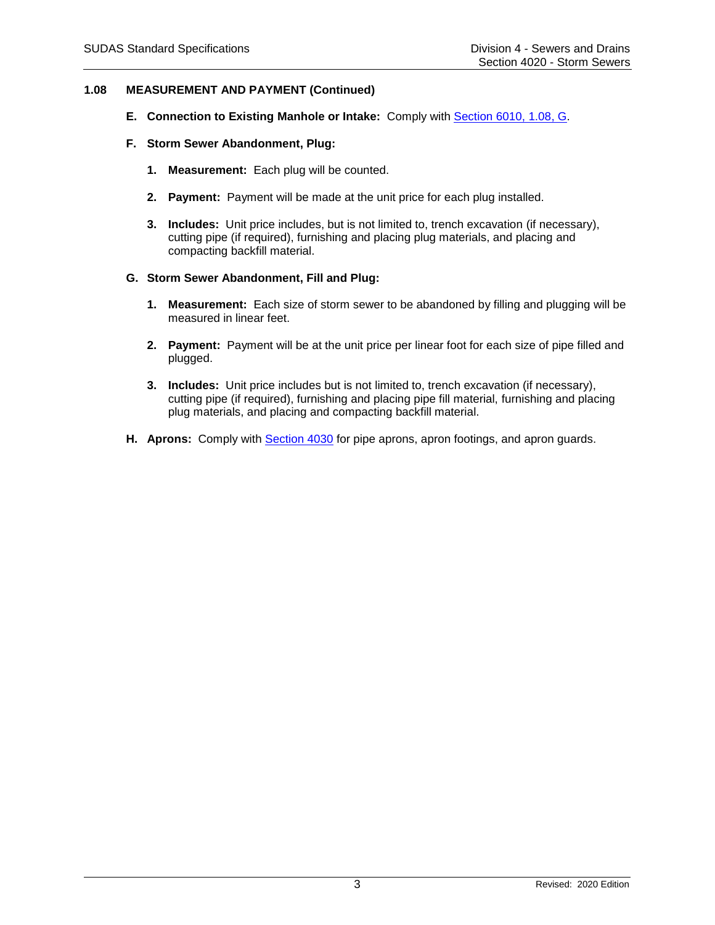### **1.08 MEASUREMENT AND PAYMENT (Continued)**

- **E. Connection to Existing Manhole or Intake:** Comply with [Section 6010, 1.08, G.](https://intrans.iastate.edu/app/uploads/sites/15/2020/02/6010.pdf#page=3)
- **F. Storm Sewer Abandonment, Plug:**
	- **1. Measurement:** Each plug will be counted.
	- **2. Payment:** Payment will be made at the unit price for each plug installed.
	- **3. Includes:** Unit price includes, but is not limited to, trench excavation (if necessary), cutting pipe (if required), furnishing and placing plug materials, and placing and compacting backfill material.

#### **G. Storm Sewer Abandonment, Fill and Plug:**

- **1. Measurement:** Each size of storm sewer to be abandoned by filling and plugging will be measured in linear feet.
- **2. Payment:** Payment will be at the unit price per linear foot for each size of pipe filled and plugged.
- **3. Includes:** Unit price includes but is not limited to, trench excavation (if necessary), cutting pipe (if required), furnishing and placing pipe fill material, furnishing and placing plug materials, and placing and compacting backfill material.
- **H. Aprons:** Comply with [Section 4030](https://intrans.iastate.edu/app/uploads/sites/15/2020/02/4030.pdf) for pipe aprons, apron footings, and apron guards.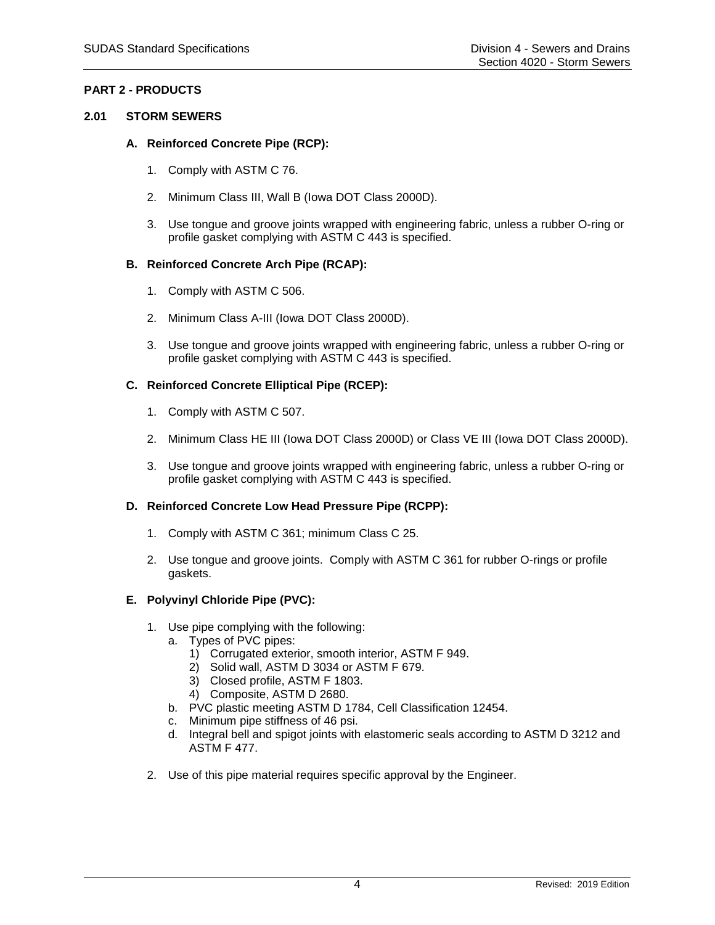# **PART 2 - PRODUCTS**

### **2.01 STORM SEWERS**

### **A. Reinforced Concrete Pipe (RCP):**

- 1. Comply with ASTM C 76.
- 2. Minimum Class III, Wall B (Iowa DOT Class 2000D).
- 3. Use tongue and groove joints wrapped with engineering fabric, unless a rubber O-ring or profile gasket complying with ASTM C 443 is specified.

### **B. Reinforced Concrete Arch Pipe (RCAP):**

- 1. Comply with ASTM C 506.
- 2. Minimum Class A-III (Iowa DOT Class 2000D).
- 3. Use tongue and groove joints wrapped with engineering fabric, unless a rubber O-ring or profile gasket complying with ASTM C 443 is specified.

### **C. Reinforced Concrete Elliptical Pipe (RCEP):**

- 1. Comply with ASTM C 507.
- 2. Minimum Class HE III (Iowa DOT Class 2000D) or Class VE III (Iowa DOT Class 2000D).
- 3. Use tongue and groove joints wrapped with engineering fabric, unless a rubber O-ring or profile gasket complying with ASTM C 443 is specified.

#### **D. Reinforced Concrete Low Head Pressure Pipe (RCPP):**

- 1. Comply with ASTM C 361; minimum Class C 25.
- 2. Use tongue and groove joints. Comply with ASTM C 361 for rubber O-rings or profile gaskets.

### **E. Polyvinyl Chloride Pipe (PVC):**

- 1. Use pipe complying with the following:
	- a. Types of PVC pipes:
		- 1) Corrugated exterior, smooth interior, ASTM F 949.
		- 2) Solid wall, ASTM D 3034 or ASTM F 679.
		- 3) Closed profile, ASTM F 1803.
		- 4) Composite, ASTM D 2680.
	- b. PVC plastic meeting ASTM D 1784, Cell Classification 12454.
	- c. Minimum pipe stiffness of 46 psi.
	- d. Integral bell and spigot joints with elastomeric seals according to ASTM D 3212 and ASTM F 477.
- 2. Use of this pipe material requires specific approval by the Engineer.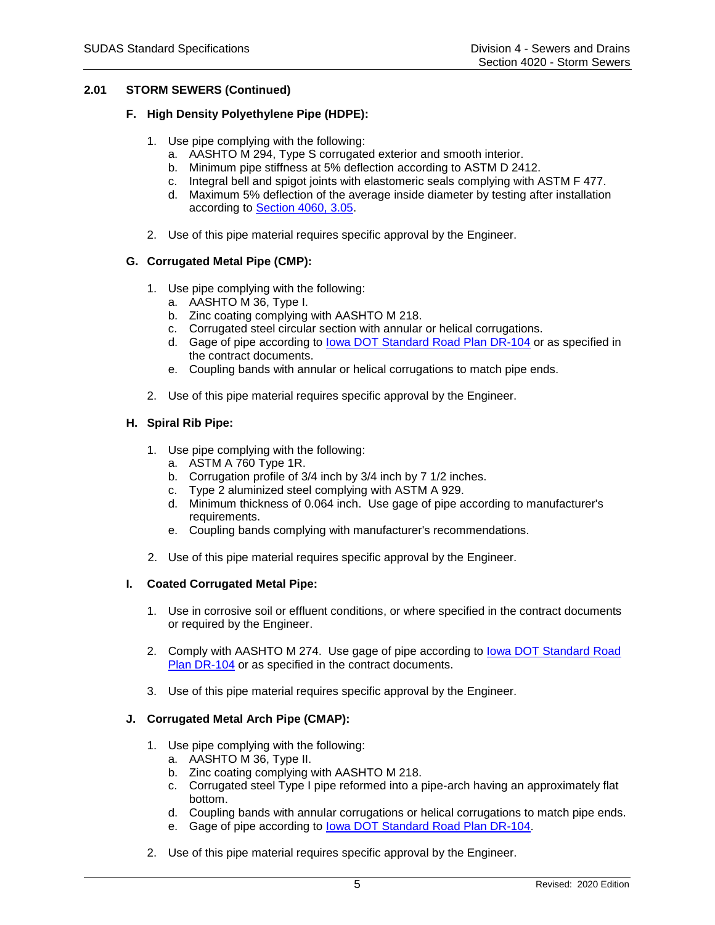# **2.01 STORM SEWERS (Continued)**

### **F. High Density Polyethylene Pipe (HDPE):**

- 1. Use pipe complying with the following:
	- a. AASHTO M 294, Type S corrugated exterior and smooth interior.
	- b. Minimum pipe stiffness at 5% deflection according to ASTM D 2412.
	- c. Integral bell and spigot joints with elastomeric seals complying with ASTM F 477.
	- d. Maximum 5% deflection of the average inside diameter by testing after installation according to [Section 4060, 3.05.](https://intrans.iastate.edu/app/uploads/sites/15/2020/02/4060.pdf#page=7)
- 2. Use of this pipe material requires specific approval by the Engineer.

### **G. Corrugated Metal Pipe (CMP):**

- 1. Use pipe complying with the following:
	- a. AASHTO M 36, Type I.
	- b. Zinc coating complying with AASHTO M 218.
	- c. Corrugated steel circular section with annular or helical corrugations.
	- d. Gage of pipe according to [Iowa DOT Standard Road Plan DR-104](https://iowadot.gov/design/SRP/IndividualStandards/dr104.pdf) or as specified in the contract documents.
	- e. Coupling bands with annular or helical corrugations to match pipe ends.
- 2. Use of this pipe material requires specific approval by the Engineer.

### **H. Spiral Rib Pipe:**

- 1. Use pipe complying with the following:
	- a. ASTM A 760 Type 1R.
	- b. Corrugation profile of 3/4 inch by 3/4 inch by 7 1/2 inches.
	- c. Type 2 aluminized steel complying with ASTM A 929.
	- d. Minimum thickness of 0.064 inch. Use gage of pipe according to manufacturer's requirements.
	- e. Coupling bands complying with manufacturer's recommendations.
- 2. Use of this pipe material requires specific approval by the Engineer.

#### **I. Coated Corrugated Metal Pipe:**

- 1. Use in corrosive soil or effluent conditions, or where specified in the contract documents or required by the Engineer.
- 2. Comply with AASHTO M 274. Use gage of pipe according to [Iowa DOT Standard Road](https://iowadot.gov/design/SRP/IndividualStandards/dr104.pdf) Plan [DR-104](https://iowadot.gov/design/SRP/IndividualStandards/dr104.pdf) or as specified in the contract documents.
- 3. Use of this pipe material requires specific approval by the Engineer.

# **J. Corrugated Metal Arch Pipe (CMAP):**

- 1. Use pipe complying with the following:
	- a. AASHTO M 36, Type II.
	- b. Zinc coating complying with AASHTO M 218.
	- c. Corrugated steel Type I pipe reformed into a pipe-arch having an approximately flat bottom.
	- d. Coupling bands with annular corrugations or helical corrugations to match pipe ends.
	- e. Gage of pipe according to [Iowa DOT Standard Road Plan DR-104.](https://iowadot.gov/design/SRP/IndividualStandards/dr104.pdf)
- 2. Use of this pipe material requires specific approval by the Engineer.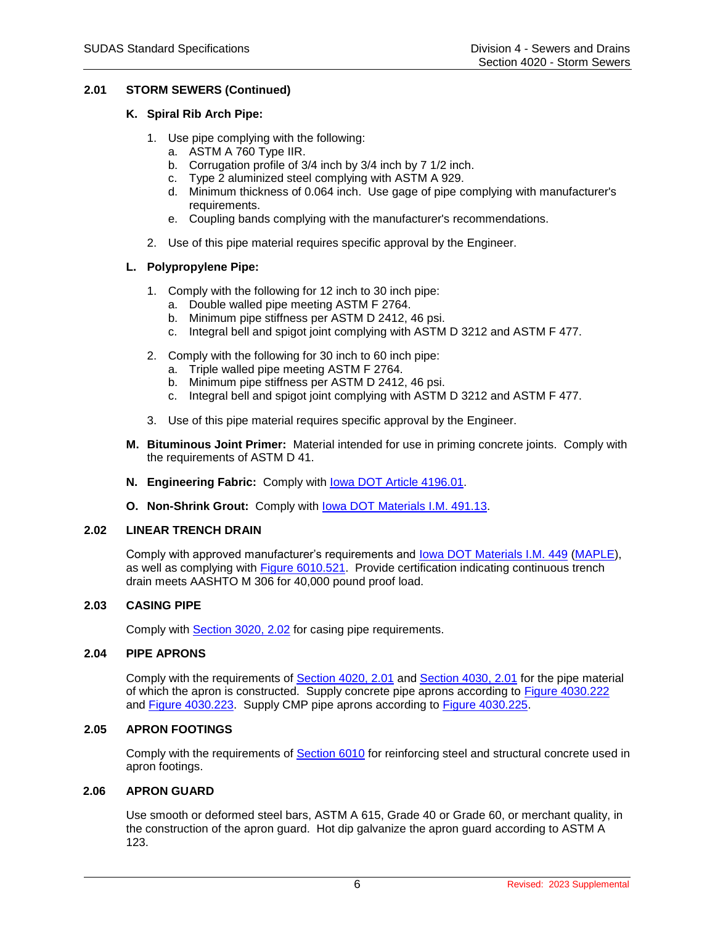# **2.01 STORM SEWERS (Continued)**

### **K. Spiral Rib Arch Pipe:**

- 1. Use pipe complying with the following:
	- a. ASTM A 760 Type IIR.
	- b. Corrugation profile of 3/4 inch by 3/4 inch by 7 1/2 inch.
	- c. Type 2 aluminized steel complying with ASTM A 929.
	- d. Minimum thickness of 0.064 inch. Use gage of pipe complying with manufacturer's requirements.
	- e. Coupling bands complying with the manufacturer's recommendations.
- 2. Use of this pipe material requires specific approval by the Engineer.

### **L. Polypropylene Pipe:**

- 1. Comply with the following for 12 inch to 30 inch pipe:
	- a. Double walled pipe meeting ASTM F 2764.
	- b. Minimum pipe stiffness per ASTM D 2412, 46 psi.
	- c. Integral bell and spigot joint complying with ASTM D 3212 and ASTM F 477.
- 2. Comply with the following for 30 inch to 60 inch pipe:
	- a. Triple walled pipe meeting ASTM F 2764.
	- b. Minimum pipe stiffness per ASTM D 2412, 46 psi.
	- c. Integral bell and spigot joint complying with ASTM D 3212 and ASTM F 477.
- 3. Use of this pipe material requires specific approval by the Engineer.
- **M. Bituminous Joint Primer:** Material intended for use in priming concrete joints. Comply with the requirements of ASTM D 41.
- **N. Engineering Fabric:** Comply with [Iowa DOT Article 4196.01.](https://www.iowadot.gov/erl/current/GS/content/4196.htm)
- **O. Non-Shrink Grout:** Comply with [Iowa DOT Materials I.M. 491.13.](https://www.iowadot.gov/erl/current/IM/content/491.13.htm)

#### **2.02 LINEAR TRENCH DRAIN**

Comply with approved manufacturer's requirements and [Iowa DOT Materials I.M. 449](https://www.iowadot.gov/erl/current/IM/content/449.htm) [\(MAPLE\)](https://maple.iowadot.gov/), as well as complying with **Figure 6010.521**. Provide certification indicating continuous trench drain meets AASHTO M 306 for 40,000 pound proof load.

#### **2.03 CASING PIPE**

Comply with [Section 3020, 2.02](https://intrans.iastate.edu/app/uploads/sites/15/2020/02/3020.pdf#page=2) for casing pipe requirements.

#### **2.04 PIPE APRONS**

Comply with the requirements of [Section 4020, 2.01](https://intrans.iastate.edu/app/uploads/sites/15/2020/02/4020.pdf#page=4) and [Section 4030, 2.01](https://intrans.iastate.edu/app/uploads/sites/15/2020/02/4030.pdf#page=3) for the pipe material of which the apron is constructed. Supply concrete pipe aprons according to [Figure 4030.222](https://intrans.iastate.edu/app/uploads/sites/15/2020/02/4030_222.pdf) and [Figure 4030.223.](https://intrans.iastate.edu/app/uploads/sites/15/2020/02/4030_223.pdf) Supply CMP pipe aprons according to [Figure 4030.225.](https://intrans.iastate.edu/app/uploads/sites/15/2020/02/4030_225.pdf)

#### **2.05 APRON FOOTINGS**

Comply with the requirements of [Section 6010](https://intrans.iastate.edu/app/uploads/sites/15/2020/02/6010.pdf) for reinforcing steel and structural concrete used in apron footings.

# **2.06 APRON GUARD**

Use smooth or deformed steel bars, ASTM A 615, Grade 40 or Grade 60, or merchant quality, in the construction of the apron guard. Hot dip galvanize the apron guard according to ASTM A 123.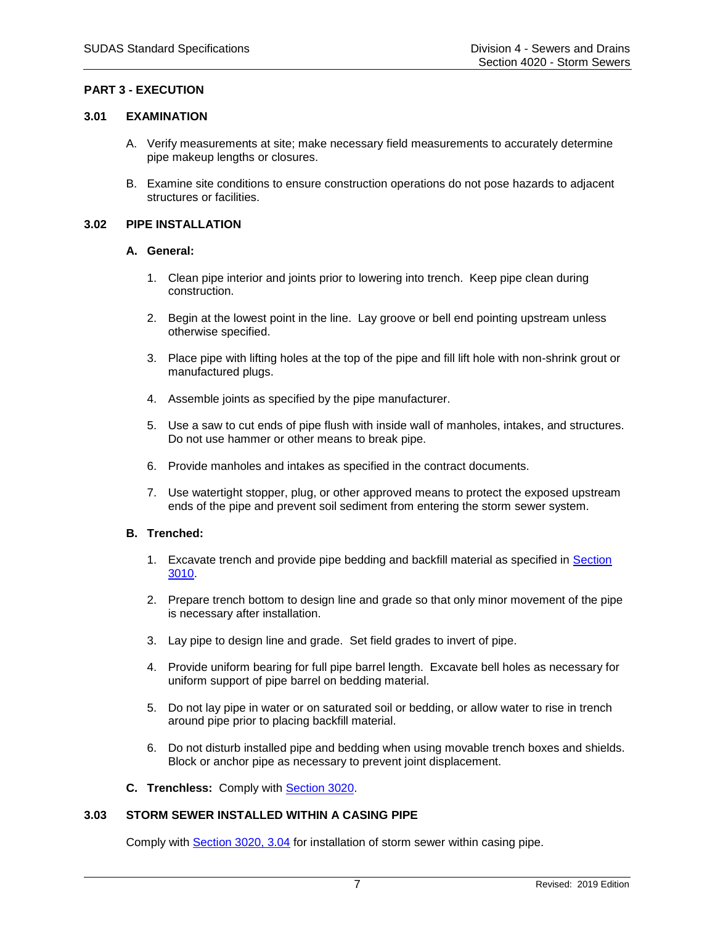### **PART 3 - EXECUTION**

#### **3.01 EXAMINATION**

- A. Verify measurements at site; make necessary field measurements to accurately determine pipe makeup lengths or closures.
- B. Examine site conditions to ensure construction operations do not pose hazards to adjacent structures or facilities.

#### **3.02 PIPE INSTALLATION**

#### **A. General:**

- 1. Clean pipe interior and joints prior to lowering into trench. Keep pipe clean during construction.
- 2. Begin at the lowest point in the line. Lay groove or bell end pointing upstream unless otherwise specified.
- 3. Place pipe with lifting holes at the top of the pipe and fill lift hole with non-shrink grout or manufactured plugs.
- 4. Assemble joints as specified by the pipe manufacturer.
- 5. Use a saw to cut ends of pipe flush with inside wall of manholes, intakes, and structures. Do not use hammer or other means to break pipe.
- 6. Provide manholes and intakes as specified in the contract documents.
- 7. Use watertight stopper, plug, or other approved means to protect the exposed upstream ends of the pipe and prevent soil sediment from entering the storm sewer system.

#### **B. Trenched:**

- 1. Excavate trench and provide pipe bedding and backfill material as specified in [Section](https://intrans.iastate.edu/app/uploads/sites/15/2020/02/3010.pdf)  [3010.](https://intrans.iastate.edu/app/uploads/sites/15/2020/02/3010.pdf)
- 2. Prepare trench bottom to design line and grade so that only minor movement of the pipe is necessary after installation.
- 3. Lay pipe to design line and grade. Set field grades to invert of pipe.
- 4. Provide uniform bearing for full pipe barrel length. Excavate bell holes as necessary for uniform support of pipe barrel on bedding material.
- 5. Do not lay pipe in water or on saturated soil or bedding, or allow water to rise in trench around pipe prior to placing backfill material.
- 6. Do not disturb installed pipe and bedding when using movable trench boxes and shields. Block or anchor pipe as necessary to prevent joint displacement.
- **C. Trenchless:** Comply with [Section 3020.](https://intrans.iastate.edu/app/uploads/sites/15/2020/02/3020.pdf)

#### **3.03 STORM SEWER INSTALLED WITHIN A CASING PIPE**

Comply with [Section 3020, 3.04](https://intrans.iastate.edu/app/uploads/sites/15/2020/02/3020.pdf#page=4) for installation of storm sewer within casing pipe.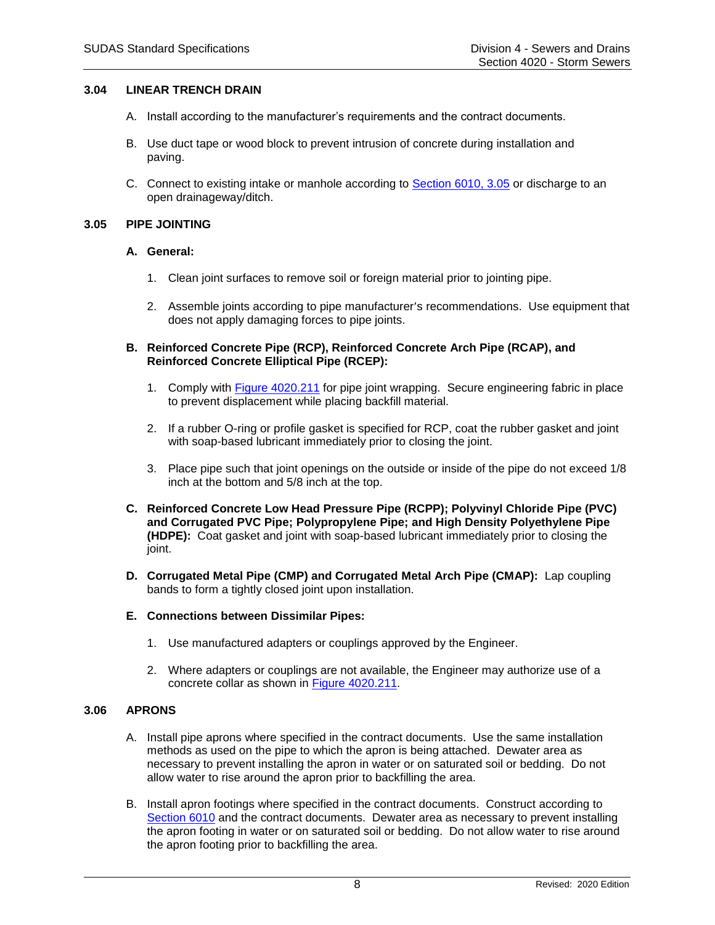#### **3.04 LINEAR TRENCH DRAIN**

- A. Install according to the manufacturer's requirements and the contract documents.
- B. Use duct tape or wood block to prevent intrusion of concrete during installation and paving.
- C. Connect to existing intake or manhole according to [Section 6010, 3.05](https://intrans.iastate.edu/app/uploads/sites/15/2020/02/6010.pdf#page=16) or discharge to an open drainageway/ditch.

#### **3.05 PIPE JOINTING**

#### **A. General:**

- 1. Clean joint surfaces to remove soil or foreign material prior to jointing pipe.
- 2. Assemble joints according to pipe manufacturer's recommendations. Use equipment that does not apply damaging forces to pipe joints.
- **B. Reinforced Concrete Pipe (RCP), Reinforced Concrete Arch Pipe (RCAP), and Reinforced Concrete Elliptical Pipe (RCEP):**
	- 1. Comply with [Figure 4020.211](https://intrans.iastate.edu/app/uploads/sites/15/2020/02/4020_211.pdf) for pipe joint wrapping. Secure engineering fabric in place to prevent displacement while placing backfill material.
	- 2. If a rubber O-ring or profile gasket is specified for RCP, coat the rubber gasket and joint with soap-based lubricant immediately prior to closing the joint.
	- 3. Place pipe such that joint openings on the outside or inside of the pipe do not exceed 1/8 inch at the bottom and 5/8 inch at the top.
- **C. Reinforced Concrete Low Head Pressure Pipe (RCPP); Polyvinyl Chloride Pipe (PVC) and Corrugated PVC Pipe; Polypropylene Pipe; and High Density Polyethylene Pipe (HDPE):** Coat gasket and joint with soap-based lubricant immediately prior to closing the joint.
- **D. Corrugated Metal Pipe (CMP) and Corrugated Metal Arch Pipe (CMAP):** Lap coupling bands to form a tightly closed joint upon installation.

#### **E. Connections between Dissimilar Pipes:**

- 1. Use manufactured adapters or couplings approved by the Engineer.
- 2. Where adapters or couplings are not available, the Engineer may authorize use of a concrete collar as shown in [Figure 4020.211.](https://intrans.iastate.edu/app/uploads/sites/15/2020/02/4020_211.pdf)

#### **3.06 APRONS**

- A. Install pipe aprons where specified in the contract documents. Use the same installation methods as used on the pipe to which the apron is being attached. Dewater area as necessary to prevent installing the apron in water or on saturated soil or bedding. Do not allow water to rise around the apron prior to backfilling the area.
- B. Install apron footings where specified in the contract documents. Construct according to [Section 6010](https://intrans.iastate.edu/app/uploads/sites/15/2020/02/6010.pdf) and the contract documents. Dewater area as necessary to prevent installing the apron footing in water or on saturated soil or bedding. Do not allow water to rise around the apron footing prior to backfilling the area.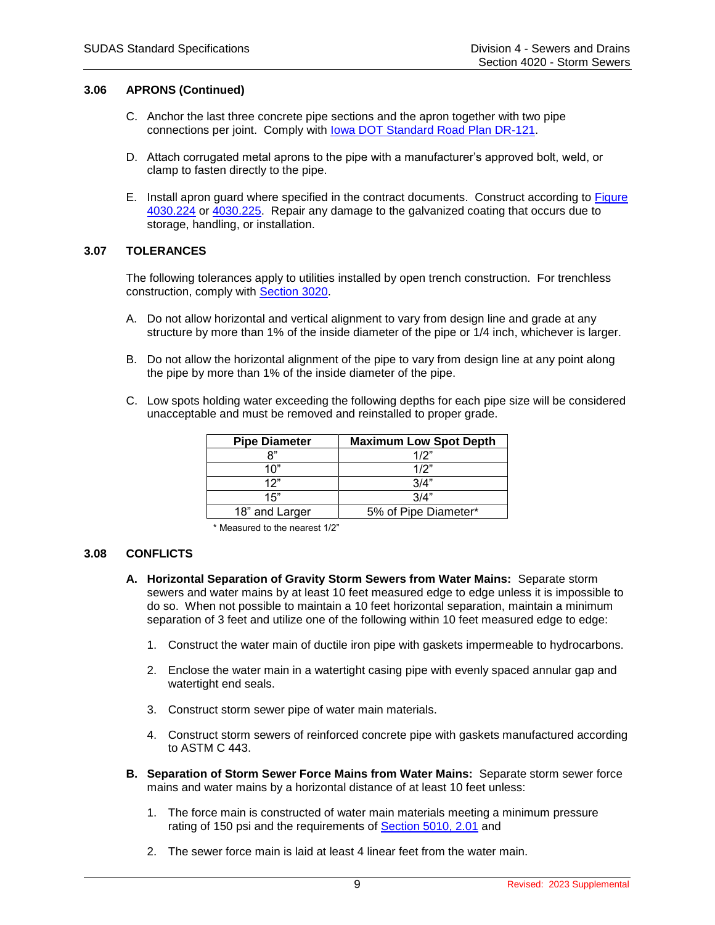#### **3.06 APRONS (Continued)**

- C. Anchor the last three concrete pipe sections and the apron together with two pipe connections per joint. Comply with [Iowa DOT Standard Road Plan DR-121.](https://www.iowadot.gov/erl/current/RS/content_eng/dr121.pdf)
- D. Attach corrugated metal aprons to the pipe with a manufacturer's approved bolt, weld, or clamp to fasten directly to the pipe.
- E. Install apron guard where specified in the contract documents. Construct according to [Figure](https://intrans.iastate.edu/app/uploads/sites/15/2020/02/4030_224.pdf)  [4030.224](https://intrans.iastate.edu/app/uploads/sites/15/2020/02/4030_224.pdf) or [4030.225.](https://intrans.iastate.edu/app/uploads/sites/15/2020/02/4030_225.pdf) Repair any damage to the galvanized coating that occurs due to storage, handling, or installation.

#### **3.07 TOLERANCES**

The following tolerances apply to utilities installed by open trench construction. For trenchless construction, comply with [Section 3020.](https://intrans.iastate.edu/app/uploads/sites/15/2020/02/3020.pdf)

- A. Do not allow horizontal and vertical alignment to vary from design line and grade at any structure by more than 1% of the inside diameter of the pipe or 1/4 inch, whichever is larger.
- B. Do not allow the horizontal alignment of the pipe to vary from design line at any point along the pipe by more than 1% of the inside diameter of the pipe.
- C. Low spots holding water exceeding the following depths for each pipe size will be considered unacceptable and must be removed and reinstalled to proper grade.

| <b>Pipe Diameter</b> | <b>Maximum Low Spot Depth</b> |
|----------------------|-------------------------------|
| "א                   | 1/2"                          |
| 1በ"                  | 1/2"                          |
| 12"                  | 3/4"                          |
| 15"                  | 3/4"                          |
| 18" and Larger       | 5% of Pipe Diameter*          |

\* Measured to the nearest 1/2"

#### **3.08 CONFLICTS**

- **A. Horizontal Separation of Gravity Storm Sewers from Water Mains:** Separate storm sewers and water mains by at least 10 feet measured edge to edge unless it is impossible to do so. When not possible to maintain a 10 feet horizontal separation, maintain a minimum separation of 3 feet and utilize one of the following within 10 feet measured edge to edge:
	- 1. Construct the water main of ductile iron pipe with gaskets impermeable to hydrocarbons.
	- 2. Enclose the water main in a watertight casing pipe with evenly spaced annular gap and watertight end seals.
	- 3. Construct storm sewer pipe of water main materials.
	- 4. Construct storm sewers of reinforced concrete pipe with gaskets manufactured according to ASTM C 443.
- **B. Separation of Storm Sewer Force Mains from Water Mains:** Separate storm sewer force mains and water mains by a horizontal distance of at least 10 feet unless:
	- 1. The force main is constructed of water main materials meeting a minimum pressure rating of 150 psi and the requirements of [Section 5010, 2.01](https://intrans.iastate.edu/app/uploads/sites/15/2020/02/5010.pdf#page=4) and
	- 2. The sewer force main is laid at least 4 linear feet from the water main.